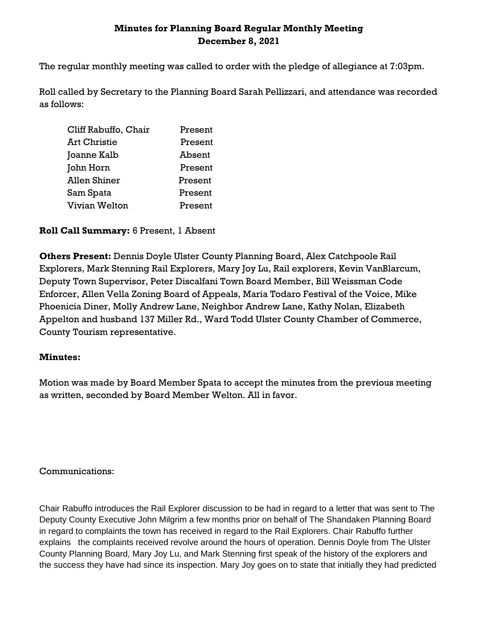# **Minutes for Planning Board Regular Monthly Meeting December 8, 2021**

The regular monthly meeting was called to order with the pledge of allegiance at 7:03pm.

Roll called by Secretary to the Planning Board Sarah Pellizzari, and attendance was recorded as follows:

| Cliff Rabuffo, Chair | Present |
|----------------------|---------|
| Art Christie         | Present |
| Joanne Kalb          | Absent  |
| John Horn            | Present |
| Allen Shiner         | Present |
| Sam Spata            | Present |
| Vivian Welton        | Present |

### **Roll Call Summary:** 6 Present, 1 Absent

**Others Present:** Dennis Doyle Ulster County Planning Board, Alex Catchpoole Rail Explorers, Mark Stenning Rail Explorers, Mary Joy Lu, Rail explorers, Kevin VanBlarcum, Deputy Town Supervisor, Peter Discalfani Town Board Member, Bill Weissman Code Enforcer, Allen Vella Zoning Board of Appeals, Maria Todaro Festival of the Voice, Mike Phoenicia Diner, Molly Andrew Lane, Neighbor Andrew Lane, Kathy Nolan, Elizabeth Appelton and husband 137 Miller Rd., Ward Todd Ulster County Chamber of Commerce, County Tourism representative.

#### **Minutes:**

Motion was made by Board Member Spata to accept the minutes from the previous meeting as written, seconded by Board Member Welton. All in favor.

Communications:

Chair Rabuffo introduces the Rail Explorer discussion to be had in regard to a letter that was sent to The Deputy County Executive John Milgrim a few months prior on behalf of The Shandaken Planning Board in regard to complaints the town has received in regard to the Rail Explorers. Chair Rabuffo further explains the complaints received revolve around the hours of operation. Dennis Doyle from The Ulster County Planning Board, Mary Joy Lu, and Mark Stenning first speak of the history of the explorers and the success they have had since its inspection. Mary Joy goes on to state that initially they had predicted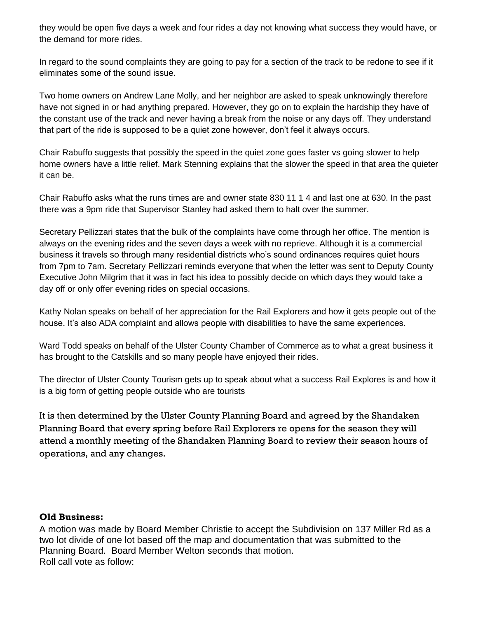they would be open five days a week and four rides a day not knowing what success they would have, or the demand for more rides.

In regard to the sound complaints they are going to pay for a section of the track to be redone to see if it eliminates some of the sound issue.

Two home owners on Andrew Lane Molly, and her neighbor are asked to speak unknowingly therefore have not signed in or had anything prepared. However, they go on to explain the hardship they have of the constant use of the track and never having a break from the noise or any days off. They understand that part of the ride is supposed to be a quiet zone however, don't feel it always occurs.

Chair Rabuffo suggests that possibly the speed in the quiet zone goes faster vs going slower to help home owners have a little relief. Mark Stenning explains that the slower the speed in that area the quieter it can be.

Chair Rabuffo asks what the runs times are and owner state 830 11 1 4 and last one at 630. In the past there was a 9pm ride that Supervisor Stanley had asked them to halt over the summer.

Secretary Pellizzari states that the bulk of the complaints have come through her office. The mention is always on the evening rides and the seven days a week with no reprieve. Although it is a commercial business it travels so through many residential districts who's sound ordinances requires quiet hours from 7pm to 7am. Secretary Pellizzari reminds everyone that when the letter was sent to Deputy County Executive John Milgrim that it was in fact his idea to possibly decide on which days they would take a day off or only offer evening rides on special occasions.

Kathy Nolan speaks on behalf of her appreciation for the Rail Explorers and how it gets people out of the house. It's also ADA complaint and allows people with disabilities to have the same experiences.

Ward Todd speaks on behalf of the Ulster County Chamber of Commerce as to what a great business it has brought to the Catskills and so many people have enjoyed their rides.

The director of Ulster County Tourism gets up to speak about what a success Rail Explores is and how it is a big form of getting people outside who are tourists

It is then determined by the Ulster County Planning Board and agreed by the Shandaken Planning Board that every spring before Rail Explorers re opens for the season they will attend a monthly meeting of the Shandaken Planning Board to review their season hours of operations, and any changes.

#### **Old Business:**

A motion was made by Board Member Christie to accept the Subdivision on 137 Miller Rd as a two lot divide of one lot based off the map and documentation that was submitted to the Planning Board. Board Member Welton seconds that motion. Roll call vote as follow: